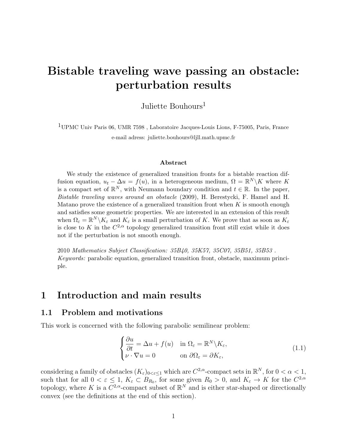# Bistable traveling wave passing an obstacle: perturbation results

Juliette Bouhours<sup>1</sup>

 $^{1}\rm UPMC$ Univ Paris 06, UMR 7598 , Laboratoire Jacques-Louis Lions, F-75005, Paris, France e-mail adress: juliette.bouhours@ljll.math.upmc.fr

#### Abstract

We study the existence of generalized transition fronts for a bistable reaction diffusion equation,  $u_t - \Delta u = f(u)$ , in a heterogeneous medium,  $\Omega = \mathbb{R}^N \backslash K$  where K is a compact set of  $\mathbb{R}^N$ , with Neumann boundary condition and  $t \in \mathbb{R}$ . In the paper, Bistable traveling waves around an obstacle (2009), H. Berestycki, F. Hamel and H. Matano prove the existence of a generalized transition front when  $K$  is smooth enough and satisfies some geometric properties. We are interested in an extension of this result when  $\Omega_{\varepsilon} = \mathbb{R}^N \backslash K_{\varepsilon}$  and  $K_{\varepsilon}$  is a small perturbation of K. We prove that as soon as  $K_{\varepsilon}$ is close to K in the  $C^{2,\alpha}$  topology generalized transition front still exist while it does not if the perturbation is not smooth enough.

2010 Mathematics Subject Classification: 35B40, 35K57, 35C07, 35B51, 35B53 . Keywords: parabolic equation, generalized transition front, obstacle, maximum principle.

## 1 Introduction and main results

### 1.1 Problem and motivations

This work is concerned with the following parabolic semilinear problem:

$$
\begin{cases} \frac{\partial u}{\partial t} = \Delta u + f(u) & \text{in } \Omega_{\varepsilon} = \mathbb{R}^N \backslash K_{\varepsilon}, \\ \nu \cdot \nabla u = 0 & \text{on } \partial \Omega_{\varepsilon} = \partial K_{\varepsilon}, \end{cases}
$$
(1.1)

considering a family of obstacles  $(K_{\varepsilon})_{0<\varepsilon\leq 1}$  which are  $C^{2,\alpha}$ -compact sets in  $\mathbb{R}^N$ , for  $0<\alpha<1$ , such that for all  $0 < \varepsilon \leq 1$ ,  $K_{\varepsilon} \subset B_{R_0}$ , for some given  $R_0 > 0$ , and  $K_{\varepsilon} \to K$  for the  $C^{2,\alpha}$ topology, where K is a  $C^{2,\alpha}$ -compact subset of  $\mathbb{R}^N$  and is either star-shaped or directionally convex (see the definitions at the end of this section).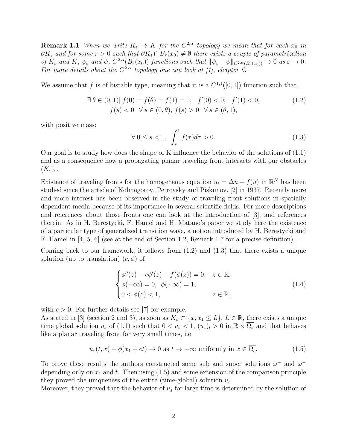**Remark 1.1** When we write  $K_{\varepsilon} \to K$  for the  $C^{2,\alpha}$  topology we mean that for each  $x_0$  in  $\partial K$ , and for some  $r > 0$  such that  $\partial K_{\varepsilon} \cap B_r(x_0) \neq \emptyset$  there exists a couple of parametrization of  $K_{\varepsilon}$  and  $K$ ,  $\psi_{\varepsilon}$  and  $\psi$ ,  $C^{2,\alpha}(B_r(x_0))$  functions such that  $\|\psi_{\varepsilon}-\psi\|_{C^{2,\alpha}(B_r(x_0))}\to 0$  as  $\varepsilon\to 0$ . For more details about the  $C^{2,\alpha}$  topology one can look at [1], chapter 6.

We assume that f is of bistable type, meaning that it is a  $C^{1,1}([0,1])$  function such that,

$$
\exists \theta \in (0,1) | f(0) = f(\theta) = f(1) = 0, \quad f'(0) < 0, \quad f'(1) < 0, \quad f(s) < 0 \quad \forall s \in (0,\theta), \quad f(s) > 0 \quad \forall s \in (\theta,1), \tag{1.2}
$$

with positive mass:

$$
\forall 0 \le s < 1, \int_s^1 f(\tau)d\tau > 0. \tag{1.3}
$$

Our goal is to study how does the shape of K influence the behavior of the solutions of (1.1) and as a consequence how a propagating planar traveling front interacts with our obstacles  $(K_{\varepsilon})_{\varepsilon}.$ 

Existence of traveling fronts for the homogeneous equation  $u_t = \Delta u + f(u)$  in  $\mathbb{R}^N$  has been studied since the article of Kolmogorov, Petrovsky and Piskunov, [2] in 1937. Recently more and more interest has been observed in the study of traveling front solutions in spatially dependent media because of its importance in several scientific fields. For more descriptions and references about those fronts one can look at the introduction of [3], and references therein. As in H. Berestycki, F. Hamel and H. Matano's paper we study here the existence of a particular type of generalized transition wave, a notion introduced by H. Berestycki and F. Hamel in [4, 5, 6] (see at the end of Section 1.2, Remark 1.7 for a precise definition).

Coming back to our framework, it follows from (1.2) and (1.3) that there exists a unique solution (up to translation)  $(c, \phi)$  of

$$
\begin{cases}\n\phi''(z) - c\phi'(z) + f(\phi(z)) = 0, & z \in \mathbb{R}, \\
\phi(-\infty) = 0, & \phi(+\infty) = 1, \\
0 < \phi(z) < 1,\n\end{cases} \quad z \in \mathbb{R},\n\tag{1.4}
$$

with  $c > 0$ . For further details see [7] for example.

As stated in [3] (section 2 and 3), as soon as  $K_{\varepsilon} \subset \{x, x_1 \leq L\}$ ,  $L \in \mathbb{R}$ , there exists a unique time global solution  $u_{\varepsilon}$  of (1.1) such that  $0 < u_{\varepsilon} < 1$ ,  $(u_{\varepsilon})_t > 0$  in  $\mathbb{R} \times \overline{\Omega_{\varepsilon}}$  and that behaves like a planar traveling front for very small times, i.e

$$
u_{\varepsilon}(t,x) - \phi(x_1 + ct) \to 0 \text{ as } t \to -\infty \text{ uniformly in } x \in \Omega_{\varepsilon}.
$$
 (1.5)

To prove these results the authors constructed some sub and super solutions  $\omega^+$  and  $\omega^$ depending only on  $x_1$  and t. Then using  $(1.5)$  and some extension of the comparison principle they proved the uniqueness of the entire (time-global) solution  $u_{\varepsilon}$ .

Moreover, they proved that the behavior of  $u_{\varepsilon}$  for large time is determined by the solution of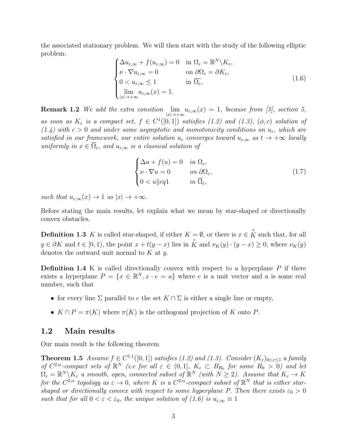the associated stationary problem. We will then start with the study of the following elliptic problem:

$$
\begin{cases}\n\Delta u_{\varepsilon,\infty} + f(u_{\varepsilon,\infty}) = 0 & \text{in } \Omega_{\varepsilon} = \mathbb{R}^N \backslash K_{\varepsilon}, \\
\nu \cdot \nabla u_{\varepsilon,\infty} = 0 & \text{on } \partial \Omega_{\varepsilon} = \partial K_{\varepsilon}, \\
0 < u_{\varepsilon,\infty} \le 1 & \text{in } \overline{\Omega_{\varepsilon}}, \\
\lim_{|x| \to +\infty} u_{\varepsilon,\infty}(x) = 1.\n\end{cases}
$$
\n(1.6)

**Remark 1.2** We add the extra consition  $\lim_{|x| \to +\infty} u_{\varepsilon,\infty}(x) = 1$ , because from [3], section 5, as soon as  $K_{\varepsilon}$  is a compact set,  $f \in C^{1}([0,1])$  satisfies (1.2) and (1.3), ( $\phi$ , c) solution of (1.4) with  $c > 0$  and under some asymptotic and monotonicity conditions on  $u_{\varepsilon}$ , which are satisfied in our framework, our entire solution  $u_{\varepsilon}$  converges toward  $u_{\varepsilon,\infty}$  as  $t \to +\infty$  locally uniformly in  $x \in \overline{\Omega}_{\varepsilon}$ , and  $u_{\varepsilon,\infty}$  is a classical solution of

$$
\begin{cases}\n\Delta u + f(u) = 0 & \text{in } \Omega_{\varepsilon}, \\
\nu \cdot \nabla u = 0 & \text{on } \partial \Omega_{\varepsilon}, \\
0 < u \|eq1 & \text{in } \overline{\Omega}_{\varepsilon},\n\end{cases} \tag{1.7}
$$

such that  $u_{\varepsilon,\infty}(x) \to 1$  as  $|x| \to +\infty$ .

Before stating the main results, let explain what we mean by star-shaped or directionally convex obstacles.

**Definition 1.3** K is called star-shaped, if either  $K = \emptyset$ , or there is  $x \in \overset{\circ}{K}$  such that, for all  $y \in \partial K$  and  $t \in [0, 1)$ , the point  $x + t(y - x)$  lies in  $\hat{K}$  and  $\nu_K(y) \cdot (y - x) \ge 0$ , where  $\nu_K(y)$ denotes the outward unit normal to  $K$  at  $y$ .

**Definition 1.4** K is called directionally convex with respect to a hyperplane  $P$  if there exists a hyperplane  $P = \{x \in \mathbb{R}^N, x \cdot e = a\}$  where e is a unit vector and a is some real number, such that

- for every line  $\Sigma$  parallel to e the set  $K \cap \Sigma$  is either a single line or empty,
- $K \cap P = \pi(K)$  where  $\pi(K)$  is the orthogonal projection of K onto P.

### 1.2 Main results

Our main result is the following theorem

**Theorem 1.5** Assume  $f \in C^{1,1}([0,1])$  satisfies (1.2) and (1.3). Consider  $(K_{\varepsilon})_{0 < \varepsilon \leq 1}$  a family of  $C^{2,\alpha}$ -compact sets of  $\mathbb{R}^N$  (i.e for all  $\varepsilon \in (0,1]$ ,  $K_{\varepsilon} \subset B_{R_0}$  for some  $R_0 > 0$ ) and let  $\Omega_{\varepsilon} = \mathbb{R}^N \backslash K_{\varepsilon}$  a smooth, open, connected subset of  $\mathbb{R}^N$  (with  $N \geq 2$ ). Assume that  $K_{\varepsilon} \to K$ for the  $C^{2,\alpha}$  topology as  $\varepsilon \to 0$ , where K is a  $C^{2,\alpha}$ -compact subset of  $\mathbb{R}^N$  that is either starshaped or directionally convex with respect to some hyperplane P. Then there exists  $\varepsilon_0 > 0$ such that for all  $0 < \varepsilon < \varepsilon_0$ , the unique solution of  $(1.6)$  is  $u_{\varepsilon,\infty} \equiv 1$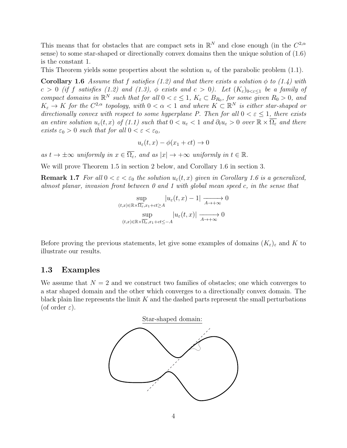This means that for obstacles that are compact sets in  $\mathbb{R}^N$  and close enough (in the  $C^{2,\alpha}$ sense) to some star-shaped or directionally convex domains then the unique solution of (1.6) is the constant 1.

This Theorem yields some properties about the solution  $u_{\varepsilon}$  of the parabolic problem (1.1).

**Corollary 1.6** Assume that f satisfies (1.2) and that there exists a solution  $\phi$  to (1.4) with  $c > 0$  (if f satisfies (1.2) and (1.3),  $\phi$  exists and  $c > 0$ ). Let  $(K_{\varepsilon})_{0 < \varepsilon < 1}$  be a family of compact domains in  $\mathbb{R}^N$  such that for all  $0 < \varepsilon \leq 1$ ,  $K_{\varepsilon} \subset B_{R_0}$ , for some given  $R_0 > 0$ , and  $K_{\varepsilon} \to K$  for the  $C^{2,\alpha}$  topology, with  $0 < \alpha < 1$  and where  $K \subset \mathbb{R}^N$  is either star-shaped or directionally convex with respect to some hyperplane P. Then for all  $0 < \varepsilon \leq 1$ , there exists an entire solution  $u_{\varepsilon}(t, x)$  of (1.1) such that  $0 < u_{\varepsilon} < 1$  and  $\partial_t u_{\varepsilon} > 0$  over  $\mathbb{R} \times \overline{\Omega_{\varepsilon}}$  and there exists  $\varepsilon_0 > 0$  such that for all  $0 < \varepsilon < \varepsilon_0$ ,

$$
u_{\varepsilon}(t,x) - \phi(x_1 + ct) \to 0
$$

as  $t \to \pm \infty$  uniformly in  $x \in \overline{\Omega_{\varepsilon}}$ , and as  $|x| \to +\infty$  uniformly in  $t \in \mathbb{R}$ .

We will prove Theorem 1.5 in section 2 below, and Corollary 1.6 in section 3.

**Remark 1.7** For all  $0 < \varepsilon < \varepsilon_0$  the solution  $u_\varepsilon(t, x)$  given in Corollary 1.6 is a generalized, almost planar, invasion front between 0 and 1 with global mean speed c, in the sense that

$$
\sup_{(t,x)\in\mathbb{R}\times\overline{\Omega_{\varepsilon}},x_1+ct\geq A} |u_{\varepsilon}(t,x)-1| \xrightarrow[A\to+\infty]{A\to+\infty} 0
$$
  

$$
\sup_{(t,x)\in\mathbb{R}\times\overline{\Omega_{\varepsilon}},x_1+ct\leq -A} |u_{\varepsilon}(t,x)| \xrightarrow[A\to+\infty]{A\to+\infty} 0
$$

Before proving the previous statements, let give some examples of domains  $(K_{\varepsilon})_{\varepsilon}$  and K to illustrate our results.

### 1.3 Examples

We assume that  $N = 2$  and we construct two families of obstacles; one which converges to a star shaped domain and the other which converges to a directionally convex domain. The black plain line represents the limit  $K$  and the dashed parts represent the small perturbations (of order  $\varepsilon$ ).



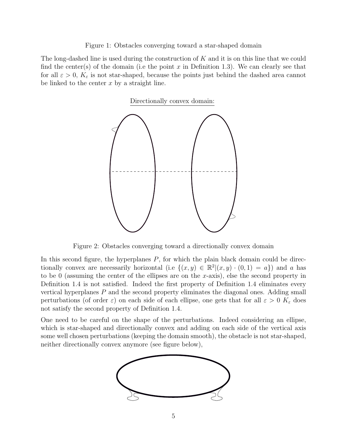Figure 1: Obstacles converging toward a star-shaped domain

The long-dashed line is used during the construction of  $K$  and it is on this line that we could find the center(s) of the domain (i.e the point x in Definition 1.3). We can clearly see that for all  $\varepsilon > 0$ ,  $K_{\varepsilon}$  is not star-shaped, because the points just behind the dashed area cannot be linked to the center  $x$  by a straight line.



Figure 2: Obstacles converging toward a directionally convex domain

In this second figure, the hyperplanes  $P$ , for which the plain black domain could be directionally convex are necessarily horizontal (i.e  $\{(x,y) \in \mathbb{R}^2 | (x,y) \cdot (0,1) = a\}$ ) and a has to be 0 (assuming the center of the ellipses are on the x-axis), else the second property in Definition 1.4 is not satisfied. Indeed the first property of Definition 1.4 eliminates every vertical hyperplanes P and the second property eliminates the diagonal ones. Adding small perturbations (of order  $\varepsilon$ ) on each side of each ellipse, one gets that for all  $\varepsilon > 0$  K<sub> $\varepsilon$ </sub> does not satisfy the second property of Definition 1.4.

One need to be careful on the shape of the perturbations. Indeed considering an ellipse, which is star-shaped and directionally convex and adding on each side of the vertical axis some well chosen perturbations (keeping the domain smooth), the obstacle is not star-shaped, neither directionally convex anymore (see figure below),

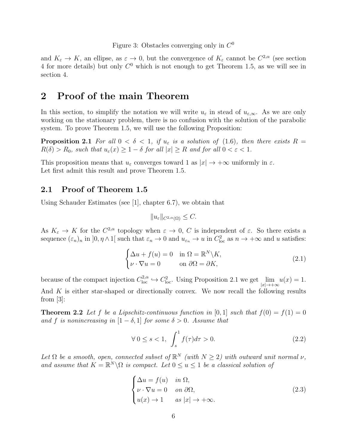Figure 3: Obstacles converging only in  $C^0$ 

and  $K_{\varepsilon} \to K$ , an ellipse, as  $\varepsilon \to 0$ , but the convergence of  $K_{\varepsilon}$  cannot be  $C^{2,\alpha}$  (see section 4 for more details) but only  $C^0$  which is not enough to get Theorem 1.5, as we will see in section 4.

## 2 Proof of the main Theorem

In this section, to simplify the notation we will write  $u_{\varepsilon}$  in stead of  $u_{\varepsilon,\infty}$ . As we are only working on the stationary problem, there is no confusion with the solution of the parabolic system. To prove Theorem 1.5, we will use the following Proposition:

**Proposition 2.1** For all  $0 < \delta < 1$ , if  $u_{\varepsilon}$  is a solution of (1.6), then there exists R =  $R(\delta) > R_0$ , such that  $u_{\varepsilon}(x) \geq 1 - \delta$  for all  $|x| \geq R$  and for all  $0 < \varepsilon < 1$ .

This proposition means that  $u_{\varepsilon}$  converges toward 1 as  $|x| \to +\infty$  uniformly in  $\varepsilon$ . Let first admit this result and prove Theorem 1.5.

### 2.1 Proof of Theorem 1.5

Using Schauder Estimates (see [1], chapter 6.7), we obtain that

$$
||u_{\varepsilon}||_{C^{2,\alpha}(\Omega)} \leq C.
$$

As  $K_{\varepsilon} \to K$  for the  $C^{2,\alpha}$  topology when  $\varepsilon \to 0$ , C is independent of  $\varepsilon$ . So there exists a sequence  $(\varepsilon_n)_n$  in  $]0, \eta \wedge 1[$  such that  $\varepsilon_n \to 0$  and  $u_{\varepsilon_n} \to u$  in  $C^2_{\text{loc}}$  as  $n \to +\infty$  and u satisfies:

$$
\begin{cases} \Delta u + f(u) = 0 & \text{in } \Omega = \mathbb{R}^N \backslash K, \\ \nu \cdot \nabla u = 0 & \text{on } \partial \Omega = \partial K, \end{cases}
$$
 (2.1)

because of the compact injection  $C^{2,\alpha}_{loc} \hookrightarrow C^2_{loc}$ . Using Proposition 2.1 we get  $\lim_{|x| \to +\infty} u(x) = 1$ . And  $K$  is either star-shaped or directionally convex. We now recall the following results from [3]:

**Theorem 2.2** Let f be a Lipschitz-continuous function in [0, 1] such that  $f(0) = f(1) = 0$ and f is nonincreasing in  $[1 - \delta, 1]$  for some  $\delta > 0$ . Assume that

$$
\forall 0 \le s < 1, \int_s^1 f(\tau)d\tau > 0. \tag{2.2}
$$

Let  $\Omega$  be a smooth, open, connected subset of  $\mathbb{R}^N$  (with  $N \geq 2$ ) with outward unit normal  $\nu$ , and assume that  $K = \mathbb{R}^N \backslash \Omega$  is compact. Let  $0 \le u \le 1$  be a classical solution of

$$
\begin{cases}\n\Delta u = f(u) & \text{in } \Omega, \\
\nu \cdot \nabla u = 0 & \text{on } \partial \Omega, \\
u(x) \to 1 & \text{as } |x| \to +\infty.\n\end{cases}
$$
\n(2.3)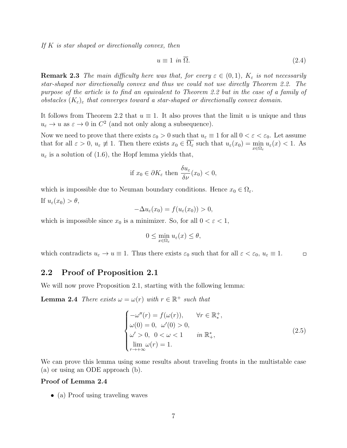If  $K$  is star shaped or directionally convex, then

$$
u \equiv 1 \text{ in } \Omega. \tag{2.4}
$$

**Remark 2.3** The main difficulty here was that, for every  $\varepsilon \in (0,1)$ ,  $K_{\varepsilon}$  is not necessarily star-shaped nor directionally convex and thus we could not use directly Theorem 2.2. The purpose of the article is to find an equivalent to Theorem 2.2 but in the case of a family of obstacles  $(K_{\varepsilon})_{\varepsilon}$  that converges toward a star-shaped or directionally convex domain.

It follows from Theorem 2.2 that  $u \equiv 1$ . It also proves that the limit u is unique and thus  $u_{\varepsilon} \to u$  as  $\varepsilon \to 0$  in  $C^2$  (and not only along a subsequence).

Now we need to prove that there exists  $\varepsilon_0 > 0$  such that  $u_{\varepsilon} \equiv 1$  for all  $0 < \varepsilon < \varepsilon_0$ . Let assume that for all  $\varepsilon > 0$ ,  $u_{\varepsilon} \neq 1$ . Then there exists  $x_0 \in \Omega_{\varepsilon}$  such that  $u_{\varepsilon}(x_0) = \min_{x \in \Omega_{\varepsilon}} u_{\varepsilon}(x) < 1$ . As  $u_{\varepsilon}$  is a solution of (1.6), the Hopf lemma yields that,

if 
$$
x_0 \in \partial K_{\varepsilon}
$$
 then  $\frac{\delta u_{\varepsilon}}{\delta \nu}(x_0) < 0$ ,

which is impossible due to Neuman boundary conditions. Hence  $x_0 \in \Omega_{\varepsilon}$ . If  $u_{\varepsilon}(x_0) > \theta$ ,

$$
-\Delta u_{\varepsilon}(x_0) = f(u_{\varepsilon}(x_0)) > 0,
$$

which is impossible since  $x_0$  is a minimizer. So, for all  $0 < \varepsilon < 1$ ,

$$
0 \le \min_{x \in \Omega_{\varepsilon}} u_{\varepsilon}(x) \le \theta,
$$

which contradicts  $u_{\varepsilon} \to u \equiv 1$ . Thus there exists  $\varepsilon_0$  such that for all  $\varepsilon < \varepsilon_0$ ,  $u_{\varepsilon} \equiv 1$ .  $\Box$ 

### 2.2 Proof of Proposition 2.1

We will now prove Proposition 2.1, starting with the following lemma:

**Lemma 2.4** There exists  $\omega = \omega(r)$  with  $r \in \mathbb{R}^+$  such that

$$
\begin{cases}\n-\omega''(r) = f(\omega(r)), & \forall r \in \mathbb{R}_*^+, \\
\omega(0) = 0, & \omega'(0) > 0, \\
\omega' > 0, & 0 < \omega < 1 \quad \text{in } \mathbb{R}_*^*, \\
\lim_{r \to +\infty} \omega(r) = 1.\n\end{cases}
$$
\n(2.5)

We can prove this lemma using some results about traveling fronts in the multistable case (a) or using an ODE approach (b).

#### Proof of Lemma 2.4

• (a) Proof using traveling waves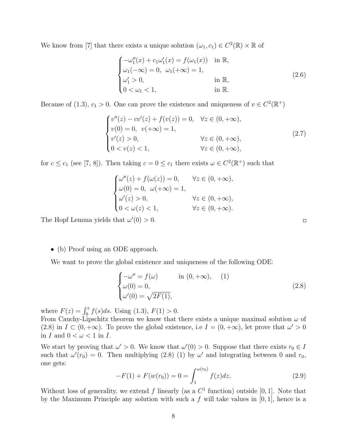We know from [7] that there exists a unique solution  $(\omega_1, c_1) \in C^2(\mathbb{R}) \times \mathbb{R}$  of

$$
\begin{cases}\n-\omega_1''(x) + c_1 \omega_1'(x) = f(\omega_1(x)) & \text{in } \mathbb{R}, \\
\omega_1(-\infty) = 0, & \omega_1(+\infty) = 1, \\
\omega_1' > 0, & \text{in } \mathbb{R}, \\
0 < \omega_1 < 1, & \text{in } \mathbb{R}.\n\end{cases}
$$
\n(2.6)

Because of (1.3),  $c_1 > 0$ . One can prove the existence and uniqueness of  $v \in C^2(\mathbb{R}^+)$ 

$$
\begin{cases}\nv''(z) - cv'(z) + f(v(z)) = 0, & \forall z \in (0, +\infty), \\
v(0) = 0, & v(+\infty) = 1, \\
v'(z) > 0, & \forall z \in (0, +\infty), \\
0 < v(z) < 1, & \forall z \in (0, +\infty),\n\end{cases}
$$
\n(2.7)

for  $c \le c_1$  (see [7, 8]). Then taking  $c = 0 \le c_1$  there exists  $\omega \in C^2(\mathbb{R}^+)$  such that

$$
\begin{cases}\n\omega''(z) + f(\omega(z)) = 0, & \forall z \in (0, +\infty), \\
\omega(0) = 0, & \omega(+\infty) = 1, \\
\omega'(z) > 0, & \forall z \in (0, +\infty), \\
0 < \omega(z) < 1, & \forall z \in (0, +\infty).\n\end{cases}
$$

The Hopf Lemma yields that  $\omega'(0) > 0$ .

• (b) Proof using an ODE approach.

We want to prove the global existence and uniqueness of the following ODE:

$$
\begin{cases}\n-\omega'' = f(\omega) & \text{in } (0, +\infty), \\
\omega(0) = 0, \\
\omega'(0) = \sqrt{2F(1)},\n\end{cases}
$$
\n(2.8)

where  $F(z) = \int_0^z f(s)ds$ . Using (1.3),  $F(1) > 0$ .

From Cauchy-Lipschitz theorem we know that there exists a unique maximal solution  $\omega$  of (2.8) in  $I \subset (0, +\infty)$ . To prove the global existence, i.e  $I = (0, +\infty)$ , let prove that  $\omega' > 0$ in  $I$  and  $0 < \omega < 1$  in  $I$ .

We start by proving that  $\omega' > 0$ . We know that  $\omega'(0) > 0$ . Suppose that there exists  $r_0 \in I$ such that  $\omega'(r_0) = 0$ . Then multiplying (2.8) (1) by  $\omega'$  and integrating between 0 and  $r_0$ , one gets:

$$
-F(1) + F(w(r_0)) = 0 = \int_1^{\omega(r_0)} f(z)dz.
$$
 (2.9)

Without loss of generality, we extend f linearly (as a  $C<sup>1</sup>$  function) outside [0, 1]. Note that by the Maximum Principle any solution with such a f will take values in  $[0, 1]$ , hence is a

 $\Box$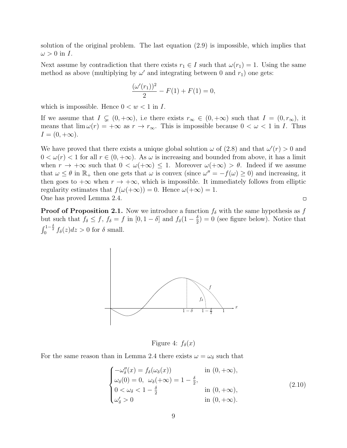solution of the original problem. The last equation (2.9) is impossible, which implies that  $\omega > 0$  in I.

Next assume by contradiction that there exists  $r_1 \in I$  such that  $\omega(r_1) = 1$ . Using the same method as above (multiplying by  $\omega'$  and integrating between 0 and  $r_1$ ) one gets:

$$
\frac{(\omega'(r_1))^2}{2} - F(1) + F(1) = 0,
$$

which is impossible. Hence  $0 < w < 1$  in I.

If we assume that  $I \subsetneq (0, +\infty)$ , i.e there exists  $r_{\infty} \in (0, +\infty)$  such that  $I = (0, r_{\infty})$ , it means that  $\lim \omega(r) = +\infty$  as  $r \to r_\infty$ . This is impossible because  $0 < \omega < 1$  in I. Thus  $I = (0, +\infty).$ 

We have proved that there exists a unique global solution  $\omega$  of (2.8) and that  $\omega'(r) > 0$  and  $0 < \omega(r) < 1$  for all  $r \in (0, +\infty)$ . As  $\omega$  is increasing and bounded from above, it has a limit when  $r \to +\infty$  such that  $0 < \omega(+\infty) \leq 1$ . Moreover  $\omega(+\infty) > \theta$ . Indeed if we assume that  $\omega \leq \theta$  in  $\mathbb{R}_+$  then one gets that  $\omega$  is convex (since  $\omega'' = -f(\omega) \geq 0$ ) and increasing, it then goes to  $+\infty$  when  $r \to +\infty$ , which is impossible. It immediately follows from elliptic regularity estimates that  $f(\omega(+\infty)) = 0$ . Hence  $\omega(+\infty) = 1$ . One has proved Lemma 2.4.  $\Box$ 

**Proof of Proposition 2.1.** Now we introduce a function  $f_{\delta}$  with the same hypothesis as f but such that  $f_{\delta} \leq f$ ,  $f_{\delta} = f$  in  $[0, 1 - \delta]$  and  $f_{\delta}(1 - \frac{\delta}{2})$  $\frac{\delta}{2}$ ) = 0 (see figure below). Notice that  $\int_0^{1-\frac{\delta}{2}} f_\delta(z) dz > 0$  for  $\delta$  small.



Figure 4:  $f_{\delta}(x)$ 

For the same reason than in Lemma 2.4 there exists  $\omega = \omega_{\delta}$  such that

$$
\begin{cases}\n-\omega_{\delta}''(x) = f_{\delta}(\omega_{\delta}(x)) & \text{in } (0, +\infty), \\
\omega_{\delta}(0) = 0, \quad \omega_{\delta}(+\infty) = 1 - \frac{\delta}{2}, \\
0 < \omega_{\delta} < 1 - \frac{\delta}{2} \\
\omega_{\delta}' > 0\n\end{cases} \quad \text{in } (0, +\infty),
$$
\n
$$
(2.10)
$$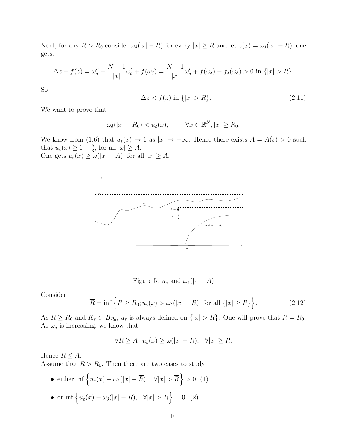Next, for any  $R > R_0$  consider  $\omega_{\delta}(|x| - R)$  for every  $|x| \ge R$  and let  $z(x) = \omega_{\delta}(|x| - R)$ , one gets:

$$
\Delta z + f(z) = \omega_{\delta}'' + \frac{N-1}{|x|}\omega_{\delta}'+f(\omega_{\delta}) = \frac{N-1}{|x|}\omega_{\delta}'+f(\omega_{\delta})-f_{\delta}(\omega_{\delta}) > 0 \text{ in } \{|x| > R\}.
$$

So

$$
-\Delta z < f(z) \text{ in } \{|x| > R\}. \tag{2.11}
$$

We want to prove that

$$
\omega_{\delta}(|x| - R_0) < u_{\varepsilon}(x), \qquad \forall x \in \mathbb{R}^N, |x| \ge R_0.
$$

We know from (1.6) that  $u_{\varepsilon}(x) \to 1$  as  $|x| \to +\infty$ . Hence there exists  $A = A(\varepsilon) > 0$  such that  $u_{\varepsilon}(x) \geq 1 - \frac{\delta}{3}$  $\frac{3}{3}$ , for all  $|x| \geq A$ . One gets  $u_{\varepsilon}(x) \ge \omega(|x| - A)$ , for all  $|x| \ge A$ .



Figure 5:  $u_{\varepsilon}$  and  $\omega_{\delta}(|\cdot| - A)$ 

Consider

$$
\overline{R} = \inf \left\{ R \ge R_0; u_\varepsilon(x) > \omega_\delta(|x| - R), \text{ for all } \{|x| \ge R\} \right\}.
$$
 (2.12)

As  $R \ge R_0$  and  $K_{\varepsilon} \subset B_{R_0}$ ,  $u_{\varepsilon}$  is always defined on  $\{|x| > R\}$ . One will prove that  $R = R_0$ . As  $\omega_{\delta}$  is increasing, we know that

$$
\forall R \ge A \quad u_{\varepsilon}(x) \ge \omega(|x| - R), \quad \forall |x| \ge R.
$$

Hence  $\overline{R} \leq A$ . Assume that  $\overline{R} > R_0$ . Then there are two cases to study:

• either inf  $\left\{ u_{\varepsilon}(x) - \omega_{\delta}(|x| - \overline{R}), \quad \forall |x| > \overline{R} \right\} > 0, (1)$ • or inf  $\left\{u_{\varepsilon}(x) - \omega_{\delta}(|x| - \overline{R}), \quad \forall |x| > \overline{R}\right\} = 0.$  (2)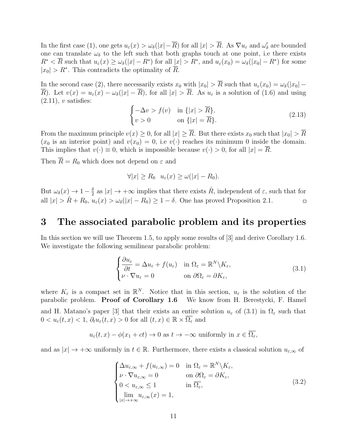In the first case (1), one gets  $u_{\varepsilon}(x) > \omega_{\delta}(|x| - \overline{R})$  for all  $|x| > \overline{R}$ . As  $\nabla u_{\varepsilon}$  and  $\omega_{\delta}'$  are bounded one can translate  $\omega_{\delta}$  to the left such that both graphs touch at one point, i.e there exists  $R^* < \overline{R}$  such that  $u_{\varepsilon}(x) \ge \omega_{\delta}(|x| - R^*)$  for all  $|x| > R^*$ , and  $u_{\varepsilon}(x_0) = \omega_{\delta}(|x_0| - R^*)$  for some  $|x_0| > R^*$ . This contradicts the optimality of  $\overline{R}$ .

In the second case (2), there necessarily exists  $x_0$  with  $|x_0| > \overline{R}$  such that  $u_\varepsilon(x_0) = \omega_\delta(|x_0| \overline{R}$ ). Let  $v(x) = u_{\varepsilon}(x) - \omega_{\delta}(|x| - \overline{R})$ , for all  $|x| > \overline{R}$ . As  $u_{\varepsilon}$  is a solution of (1.6) and using  $(2.11), v$  satisfies:

$$
\begin{cases}\n-\Delta v > f(v) & \text{in } \{|x| > \overline{R}\}, \\
v > 0 & \text{on } \{|x| = \overline{R}\}.\n\end{cases}
$$
\n(2.13)

From the maximum principle  $v(x) \geq 0$ , for all  $|x| \geq \overline{R}$ . But there exists  $x_0$  such that  $|x_0| > \overline{R}$  $(x_0$  is an interior point) and  $v(x_0) = 0$ , i.e  $v(\cdot)$  reaches its minimum 0 inside the domain. This implies that  $v(\cdot) \equiv 0$ , which is impossible because  $v(\cdot) > 0$ , for all  $|x| = \overline{R}$ .

Then  $R = R_0$  which does not depend on  $\varepsilon$  and

$$
\forall |x| \ge R_0 \quad u_{\varepsilon}(x) \ge \omega(|x| - R_0).
$$

 $\frac{\delta}{2}$  as  $|x| \to +\infty$  implies that there exists  $\hat{R}$ , independent of  $\varepsilon$ , such that for But  $\omega_{\delta}(x) \to 1 - \frac{\delta}{2}$ all  $|x| > \hat{R} + R_0$ ,  $u_{\varepsilon}(x) > \omega_{\delta}(|x| - R_0) \ge 1 - \delta$ . One has proved Proposition 2.1.  $\square$ 

# 3 The associated parabolic problem and its properties

In this section we will use Theorem 1.5, to apply some results of [3] and derive Corollary 1.6. We investigate the following semilinear parabolic problem:

$$
\begin{cases} \frac{\partial u_{\varepsilon}}{\partial t} = \Delta u_{\varepsilon} + f(u_{\varepsilon}) & \text{in } \Omega_{\varepsilon} = \mathbb{R}^N \backslash K_{\varepsilon}, \\ \nu \cdot \nabla u_{\varepsilon} = 0 & \text{on } \partial \Omega_{\varepsilon} = \partial K_{\varepsilon}, \end{cases}
$$
(3.1)

where  $K_{\varepsilon}$  is a compact set in  $\mathbb{R}^N$ . Notice that in this section,  $u_{\varepsilon}$  is the solution of the parabolic problem. Proof of Corollary 1.6 We know from H. Berestycki, F. Hamel and H. Matano's paper [3] that their exists an entire solution  $u_{\varepsilon}$  of (3.1) in  $\Omega_{\varepsilon}$  such that  $0 < u_{\varepsilon}(t,x) < 1, \ \partial_t u_{\varepsilon}(t,x) > 0 \text{ for all } (t,x) \in \mathbb{R} \times \overline{\Omega_{\varepsilon}} \text{ and }$ 

$$
u_{\varepsilon}(t,x) - \phi(x_1 + ct) \to 0
$$
 as  $t \to -\infty$  uniformly in  $x \in \overline{\Omega_{\varepsilon}}$ ,

and as  $|x| \to +\infty$  uniformly in  $t \in \mathbb{R}$ . Furthermore, there exists a classical solution  $u_{\varepsilon,\infty}$  of

$$
\begin{cases}\n\Delta u_{\varepsilon,\infty} + f(u_{\varepsilon,\infty}) = 0 & \text{in } \Omega_{\varepsilon} = \mathbb{R}^N \setminus K_{\varepsilon}, \\
\nu \cdot \nabla u_{\varepsilon,\infty} = 0 & \text{on } \partial \Omega_{\varepsilon} = \partial K_{\varepsilon}, \\
0 < u_{\varepsilon,\infty} \le 1 & \text{in } \overline{\Omega_{\varepsilon}}, \\
\lim_{|x| \to +\infty} u_{\varepsilon,\infty}(x) = 1,\n\end{cases} \tag{3.2}
$$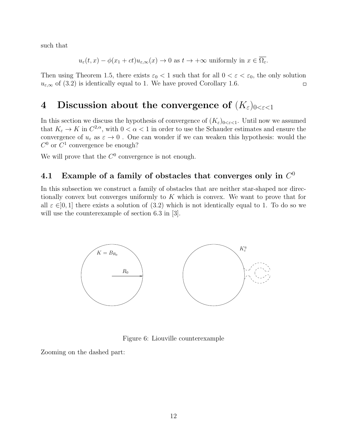such that

$$
u_{\varepsilon}(t,x) - \phi(x_1 + ct)u_{\varepsilon,\infty}(x) \to 0
$$
 as  $t \to +\infty$  uniformly in  $x \in \overline{\Omega_{\varepsilon}}$ .

Then using Theorem 1.5, there exists  $\varepsilon_0 < 1$  such that for all  $0 < \varepsilon < \varepsilon_0$ , the only solution  $u_{\varepsilon,\infty}$  of (3.2) is identically equal to 1. We have proved Corollary 1.6.  $\Box$ 

# 4 Discussion about the convergence of  $(K_{\varepsilon})_{0<\varepsilon<1}$

In this section we discuss the hypothesis of convergence of  $(K_{\varepsilon})_{0<\varepsilon<1}$ . Until now we assumed that  $K_{\varepsilon} \to K$  in  $C^{2,\alpha}$ , with  $0 < \alpha < 1$  in order to use the Schauder estimates and ensure the convergence of  $u_{\varepsilon}$  as  $\varepsilon \to 0$ . One can wonder if we can weaken this hypothesis: would the  $C^0$  or  $C^1$  convergence be enough?

We will prove that the  $C^0$  convergence is not enough.

# 4.1 Example of a family of obstacles that converges only in  $C^0$

In this subsection we construct a family of obstacles that are neither star-shaped nor directionally convex but converges uniformly to  $K$  which is convex. We want to prove that for all  $\varepsilon \in ]0,1]$  there exists a solution of (3.2) which is not identically equal to 1. To do so we will use the counterexample of section 6.3 in [3].



Figure 6: Liouville counterexample

Zooming on the dashed part: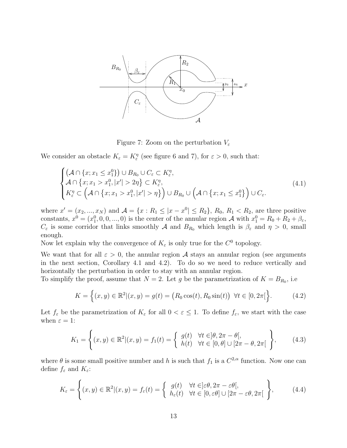

Figure 7: Zoom on the perturbation  $V_{\varepsilon}$ 

We consider an obstacle  $K_{\varepsilon} = K_{\varepsilon}^{\eta}$  (see figure 6 and 7), for  $\varepsilon > 0$ , such that:

$$
\begin{cases}\n\left(\mathcal{A}\cap\{x;x_1\leq x_1^0\}\right)\cup B_{R_0}\cup C_{\varepsilon}\subset K_{\varepsilon}^{\eta},\\
\mathcal{A}\cap\{x;x_1>x_1^0,|x'|>2\eta\}\subset K_{\varepsilon}^{\eta},\\
K_{\varepsilon}^{\eta}\subset\left(\mathcal{A}\cap\{x;x_1>x_1^0,|x'|>\eta\}\right)\cup B_{R_0}\cup\left(\mathcal{A}\cap\{x;x_1\leq x_1^0\}\right)\cup C_{\varepsilon}.\n\end{cases}
$$
\n(4.1)

where  $x' = (x_2, ..., x_N)$  and  $\mathcal{A} = \{x : R_1 \leq |x - x^0| \leq R_2\}$ ,  $R_0, R_1 < R_2$ , are three positive constants,  $x^0 = (x_1^0, 0, 0, ..., 0)$  is the center of the annular region A with  $x_1^0 = R_0 + R_2 + \beta_{\varepsilon}$ ,  $C_{\varepsilon}$  is some corridor that links smoothly A and  $B_{R_0}$  which length is  $\beta_{\varepsilon}$  and  $\eta > 0$ , small enough.

Now let explain why the convergence of  $K_{\varepsilon}$  is only true for the  $C^0$  topology.

We want that for all  $\varepsilon > 0$ , the annular region A stays an annular region (see arguments in the next section, Corollary 4.1 and 4.2). To do so we need to reduce vertically and horizontally the perturbation in order to stay with an annular region.

To simplify the proof, assume that  $N=2$ . Let g be the parametrization of  $K=B_{R_0}$ , i.e.

$$
K = \left\{ (x, y) \in \mathbb{R}^2 | (x, y) = g(t) = \left( R_0 \cos(t), R_0 \sin(t) \right) \ \forall t \in [0, 2\pi] \right\}.
$$
 (4.2)

Let  $f_{\varepsilon}$  be the parametrization of  $K_{\varepsilon}$  for all  $0 < \varepsilon \leq 1$ . To define  $f_{\varepsilon}$ , we start with the case when  $\varepsilon = 1$ :

$$
K_1 = \left\{ (x, y) \in \mathbb{R}^2 | (x, y) = f_1(t) = \begin{cases} g(t) & \forall t \in ]\theta, 2\pi - \theta[, \\ h(t) & \forall t \in [0, \theta] \cup [2\pi - \theta, 2\pi[ \end{cases} \right\},
$$
(4.3)

where  $\theta$  is some small positive number and h is such that  $f_1$  is a  $C^{2,\alpha}$  function. Now one can define  $f_{\varepsilon}$  and  $K_{\varepsilon}$ :

$$
K_{\varepsilon} = \left\{ (x, y) \in \mathbb{R}^2 | (x, y) = f_{\varepsilon}(t) = \left\{ \begin{array}{ll} g(t) & \forall t \in ]\varepsilon \theta, 2\pi - \varepsilon \theta[, \\ h_{\varepsilon}(t) & \forall t \in [0, \varepsilon \theta] \cup [2\pi - \varepsilon \theta, 2\pi[ \end{array} \right\},\right. \tag{4.4}
$$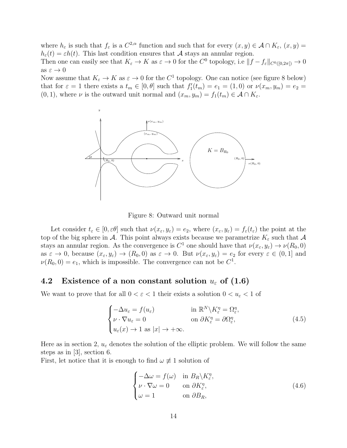where  $h_{\varepsilon}$  is such that  $f_{\varepsilon}$  is a  $C^{2,\alpha}$  function and such that for every  $(x, y) \in \mathcal{A} \cap K_{\varepsilon}$ ,  $(x, y) =$  $h_{\varepsilon}(t) = \varepsilon h(t)$ . This last condition ensures that A stays an annular region.

Then one can easily see that  $K_{\varepsilon} \to K$  as  $\varepsilon \to 0$  for the  $C^0$  topology, i.e  $||f - f_{\varepsilon}||_{C^0([0, 2\pi])} \to 0$ as  $\varepsilon \to 0$ 

Now assume that  $K_{\varepsilon} \to K$  as  $\varepsilon \to 0$  for the  $C^1$  topology. One can notice (see figure 8 below) that for  $\varepsilon = 1$  there exists a  $t_m \in [0, \theta]$  such that  $f'_1(t_m) = e_1 = (1, 0)$  or  $\nu(x_m, y_m) = e_2 =$  $(0, 1)$ , where  $\nu$  is the outward unit normal and  $(x_m, y_m) = f_1(t_m) \in \mathcal{A} \cap K_{\varepsilon}$ .



Figure 8: Outward unit normal

Let consider  $t_{\varepsilon} \in [0, \varepsilon \theta]$  such that  $\nu(x_{\varepsilon}, y_{\varepsilon}) = e_2$ , where  $(x_{\varepsilon}, y_{\varepsilon}) = f_{\varepsilon}(t_{\varepsilon})$  the point at the top of the big sphere in A. This point always exists because we parametrize  $K_{\varepsilon}$  such that A stays an annular region. As the convergence is  $C^1$  one should have that  $\nu(x_\varepsilon, y_\varepsilon) \to \nu(R_0, 0)$ as  $\varepsilon \to 0$ , because  $(x_{\varepsilon}, y_{\varepsilon}) \to (R_0, 0)$  as  $\varepsilon \to 0$ . But  $\nu(x_{\varepsilon}, y_{\varepsilon}) = e_2$  for every  $\varepsilon \in (0, 1]$  and  $\nu(R_0, 0) = e_1$ , which is impossible. The convergence can not be  $C^1$ .

### 4.2 Existence of a non constant solution  $u_{\varepsilon}$  of (1.6)

We want to prove that for all  $0 < \varepsilon < 1$  their exists a solution  $0 < u_{\varepsilon} < 1$  of

$$
\begin{cases}\n-\Delta u_{\varepsilon} = f(u_{\varepsilon}) & \text{in } \mathbb{R}^N \setminus K_{\varepsilon}^{\eta} = \Omega_{\varepsilon}^{\eta}, \\
\nu \cdot \nabla u_{\varepsilon} = 0 & \text{on } \partial K_{\varepsilon}^{\eta} = \partial \Omega_{\varepsilon}^{\eta}, \\
u_{\varepsilon}(x) \to 1 \text{ as } |x| \to +\infty.\n\end{cases} (4.5)
$$

Here as in section 2,  $u_{\varepsilon}$  denotes the solution of the elliptic problem. We will follow the same steps as in [3], section 6.

First, let notice that it is enough to find  $\omega \neq 1$  solution of

$$
\begin{cases}\n-\Delta\omega = f(\omega) & \text{in } B_R \backslash K_{\varepsilon}^{\eta}, \\
\nu \cdot \nabla\omega = 0 & \text{on } \partial K_{\varepsilon}^{\eta}, \\
\omega = 1 & \text{on } \partial B_R,\n\end{cases}
$$
\n(4.6)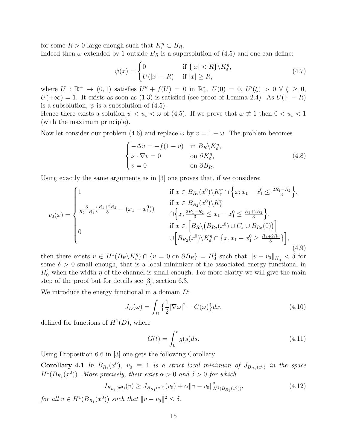for some  $R > 0$  large enough such that  $K_{\varepsilon}^{\eta} \subset B_R$ . Indeed then  $\omega$  extended by 1 outside  $B_R$  is a supersolution of (4.5) and one can define:

$$
\psi(x) = \begin{cases}\n0 & \text{if } \{|x| < R\} \backslash K_{\varepsilon}^{\eta}, \\
U(|x| - R) & \text{if } |x| \ge R,\n\end{cases} \tag{4.7}
$$

where  $U : \mathbb{R}^+ \to (0,1)$  satisfies  $U'' + f(U) = 0$  in  $\mathbb{R}^*_+$ ,  $U(0) = 0$ ,  $U'(\xi) > 0 \forall \xi \geq 0$ ,  $U(+\infty) = 1$ . It exists as soon as (1.3) is satisfied (see proof of Lemma 2.4). As  $U(|\cdot| - R)$ is a subsolution,  $\psi$  is a subsolution of (4.5).

Hence there exists a solution  $\psi < u_{\varepsilon} < \omega$  of (4.5). If we prove that  $\omega \not\equiv 1$  then  $0 < u_{\varepsilon} < 1$ (with the maximum principle).

Now let consider our problem (4.6) and replace  $\omega$  by  $v = 1 - \omega$ . The problem becomes

$$
\begin{cases}\n-\Delta v = -f(1-v) & \text{in } B_R \backslash K_{\varepsilon}^{\eta}, \\
\nu \cdot \nabla v = 0 & \text{on } \partial K_{\varepsilon}^{\eta}, \\
v = 0 & \text{on } \partial B_R.\n\end{cases}
$$
\n(4.8)

Using exactly the same arguments as in [3] one proves that, if we considere:

$$
v_0(x) = \begin{cases} 1 & \text{if } x \in B_{R_2}(x^0) \setminus K_{\varepsilon}^{\eta} \cap \left\{ x; x_1 - x_1^0 \le \frac{2R_1 + R_2}{3} \right\}, \\ \frac{3}{R_2 - R_1} (\frac{R_1 + 2R_2}{3} - (x_1 - x_1^0)) & \cap \left\{ x; \frac{2R_1 + R_2}{3} \le x_1 - x_1^0 \le \frac{R_1 + 2R_2}{3} \right\}, \\ 0 & \text{if } x \in \left[ B_R \setminus (B_{R_2}(x^0) \cup C_{\varepsilon} \cup B_{R_0}(0)) \right] \\ 0 & \cup \left[ B_{R_2}(x^0) \setminus K_{\varepsilon}^{\eta} \cap \left\{ x, x_1 - x_1^0 \ge \frac{R_1 + 2R_2}{3} \right\} \right], \end{cases}
$$
(4.9)

then there exists  $v \in H^1(B_R \setminus K_{\varepsilon}^{\eta}) \cap \{v = 0 \text{ on } \partial B_R\} = H_0^1$  such that  $||v - v_0||_{H_0^1} < \delta$  for some  $\delta > 0$  small enough, that is a local minimizer of the associated energy functional in  $H_0^1$  when the width  $\eta$  of the channel is small enough. For more clarity we will give the main step of the proof but for details see [3], section 6.3.

We introduce the energy functional in a domain  $D$ :

$$
J_D(\omega) = \int_D \left\{ \frac{1}{2} |\nabla \omega|^2 - G(\omega) \right\} dx,\tag{4.10}
$$

defined for functions of  $H^1(D)$ , where

$$
G(t) = \int_0^t g(s)ds.
$$
\n(4.11)

Using Proposition 6.6 in [3] one gets the following Corollary

**Corollary 4.1** In  $B_{R_1}(x^0)$ ,  $v_0 \equiv 1$  is a strict local minimum of  $J_{B_{R_1}(x^0)}$  in the space  $H^1(B_{R_1}(x^0))$ . More precisely, their exist  $\alpha > 0$  and  $\delta > 0$  for which

$$
J_{B_{R_1}(x^0)}(v) \ge J_{B_{R_1}(x^0)}(v_0) + \alpha \|v - v_0\|_{H^1(B_{R_1}(x^0))}^2,
$$
\n(4.12)

for all  $v \in H^1(B_{R_1}(x^0))$  such that  $||v - v_0||^2 \le \delta$ .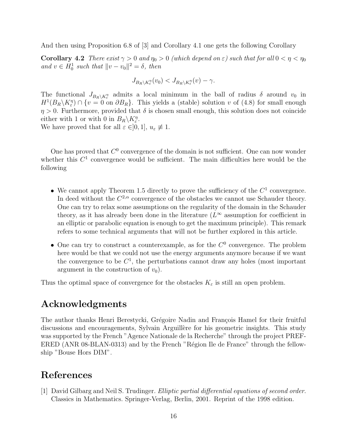And then using Proposition 6.8 of [3] and Corollary 4.1 one gets the following Corollary

**Corollary 4.2** There exist  $\gamma > 0$  and  $\eta_0 > 0$  (which depend on  $\varepsilon$ ) such that for all  $0 < \eta < \eta_0$ and  $v \in H_0^1$  such that  $||v - v_0||^2 = \delta$ , then

$$
J_{B_R \setminus K_{\varepsilon}^{\eta}}(v_0) < J_{B_R \setminus K_{\varepsilon}^{\eta}}(v) - \gamma.
$$

The functional  $J_{B_R\setminus K_\varepsilon^n}$  admits a local minimum in the ball of radius  $\delta$  around  $v_0$  in  $H^1(B_R \setminus K_{\varepsilon}^{\eta}) \cap \{v = 0 \text{ on } \partial B_R\}.$  This yields a (stable) solution v of (4.8) for small enough  $\eta > 0$ . Furthermore, provided that  $\delta$  is chosen small enough, this solution does not coincide either with 1 or with 0 in  $B_R \backslash K_{\varepsilon}^{\eta}$ .

We have proved that for all  $\varepsilon \in ]0,1], u_{\varepsilon} \not\equiv 1.$ 

One has proved that  $C^0$  convergence of the domain is not sufficient. One can now wonder whether this  $C^1$  convergence would be sufficient. The main difficulties here would be the following

- We cannot apply Theorem 1.5 directly to prove the sufficiency of the  $C<sup>1</sup>$  convergence. In deed without the  $C^{2,\alpha}$  convergence of the obstacles we cannot use Schauder theory. One can try to relax some assumptions on the regularity of the domain in the Schauder theory, as it has already been done in the literature  $(L^{\infty}$  assumption for coefficient in an elliptic or parabolic equation is enough to get the maximum principle). This remark refers to some technical arguments that will not be further explored in this article.
- One can try to construct a counterexample, as for the  $C^0$  convergence. The problem here would be that we could not use the energy arguments anymore because if we want the convergence to be  $C^1$ , the perturbations cannot draw any holes (most important argument in the construction of  $v_0$ ).

Thus the optimal space of convergence for the obstacles  $K_{\varepsilon}$  is still an open problem.

# Acknowledgments

The author thanks Henri Berestycki, Grégoire Nadin and François Hamel for their fruitful discussions and encouragements, Sylvain Arguillère for his geometric insights. This study was supported by the French "Agence Nationale de la Recherche" through the project PREF-ERED (ANR  $08$ -BLAN-0313) and by the French "Région Ile de France" through the fellowship "Bouse Hors DIM".

# References

[1] David Gilbarg and Neil S. Trudinger. Elliptic partial differential equations of second order. Classics in Mathematics. Springer-Verlag, Berlin, 2001. Reprint of the 1998 edition.